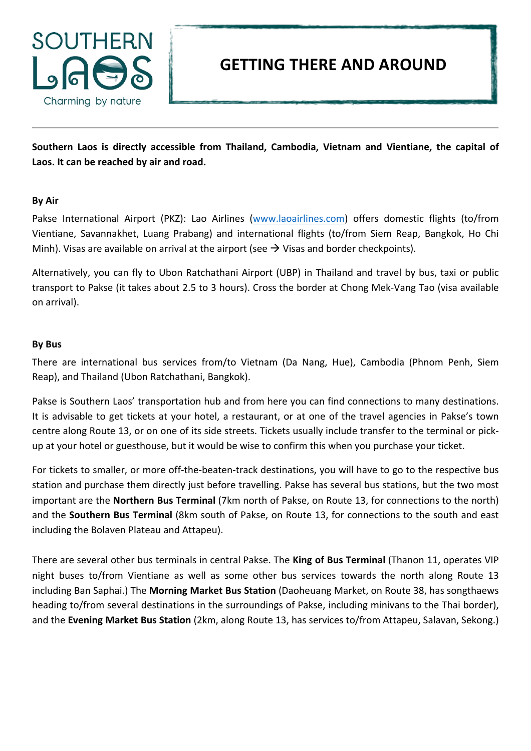

## **GETTING THERE AND AROUND**

Southern Laos is directly accessible from Thailand, Cambodia, Vietnam and Vientiane, the capital of Laos. It can be reached by air and road.

## **By Air**

Pakse International Airport (PKZ): Lao Airlines (www.laoairlines.com) offers domestic flights (to/from Vientiane, Savannakhet, Luang Prabang) and international flights (to/from Siem Reap, Bangkok, Ho Chi Minh). Visas are available on arrival at the airport (see  $\rightarrow$  Visas and border checkpoints).

Alternatively, you can fly to Ubon Ratchathani Airport (UBP) in Thailand and travel by bus, taxi or public transport to Pakse (it takes about 2.5 to 3 hours). Cross the border at Chong Mek-Vang Tao (visa available on arrival). 

## **By Bus**

There are international bus services from/to Vietnam (Da Nang, Hue), Cambodia (Phnom Penh, Siem Reap), and Thailand (Ubon Ratchathani, Bangkok).

Pakse is Southern Laos' transportation hub and from here you can find connections to many destinations. It is advisable to get tickets at your hotel, a restaurant, or at one of the travel agencies in Pakse's town centre along Route 13, or on one of its side streets. Tickets usually include transfer to the terminal or pickup at your hotel or guesthouse, but it would be wise to confirm this when you purchase your ticket.

For tickets to smaller, or more off-the-beaten-track destinations, you will have to go to the respective bus station and purchase them directly just before travelling. Pakse has several bus stations, but the two most important are the **Northern Bus Terminal** (7km north of Pakse, on Route 13, for connections to the north) and the **Southern Bus Terminal** (8km south of Pakse, on Route 13, for connections to the south and east including the Bolaven Plateau and Attapeu).

There are several other bus terminals in central Pakse. The King of Bus Terminal (Thanon 11, operates VIP night buses to/from Vientiane as well as some other bus services towards the north along Route 13 including Ban Saphai.) The Morning Market Bus Station (Daoheuang Market, on Route 38, has songthaews heading to/from several destinations in the surroundings of Pakse, including minivans to the Thai border), and the Evening Market Bus Station (2km, along Route 13, has services to/from Attapeu, Salavan, Sekong.)